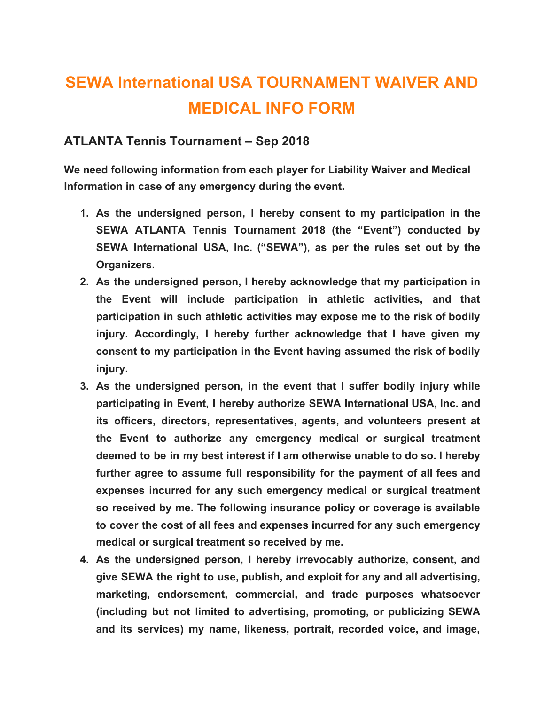## **SEWA International USA TOURNAMENT WAIVER AND MEDICAL INFO FORM**

## **ATLANTA Tennis Tournament – Sep 2018**

**We need following information from each player for Liability Waiver and Medical Information in case of any emergency during the event.**

- **1. As the undersigned person, I hereby consent to my participation in the SEWA ATLANTA Tennis Tournament 2018 (the "Event") conducted by SEWA International USA, Inc. ("SEWA"), as per the rules set out by the Organizers.**
- **2. As the undersigned person, I hereby acknowledge that my participation in the Event will include participation in athletic activities, and that participation in such athletic activities may expose me to the risk of bodily injury. Accordingly, I hereby further acknowledge that I have given my consent to my participation in the Event having assumed the risk of bodily injury.**
- **3. As the undersigned person, in the event that I suffer bodily injury while participating in Event, I hereby authorize SEWA International USA, Inc. and its officers, directors, representatives, agents, and volunteers present at the Event to authorize any emergency medical or surgical treatment deemed to be in my best interest if I am otherwise unable to do so. I hereby further agree to assume full responsibility for the payment of all fees and expenses incurred for any such emergency medical or surgical treatment so received by me. The following insurance policy or coverage is available to cover the cost of all fees and expenses incurred for any such emergency medical or surgical treatment so received by me.**
- **4. As the undersigned person, I hereby irrevocably authorize, consent, and give SEWA the right to use, publish, and exploit for any and all advertising, marketing, endorsement, commercial, and trade purposes whatsoever (including but not limited to advertising, promoting, or publicizing SEWA and its services) my name, likeness, portrait, recorded voice, and image,**